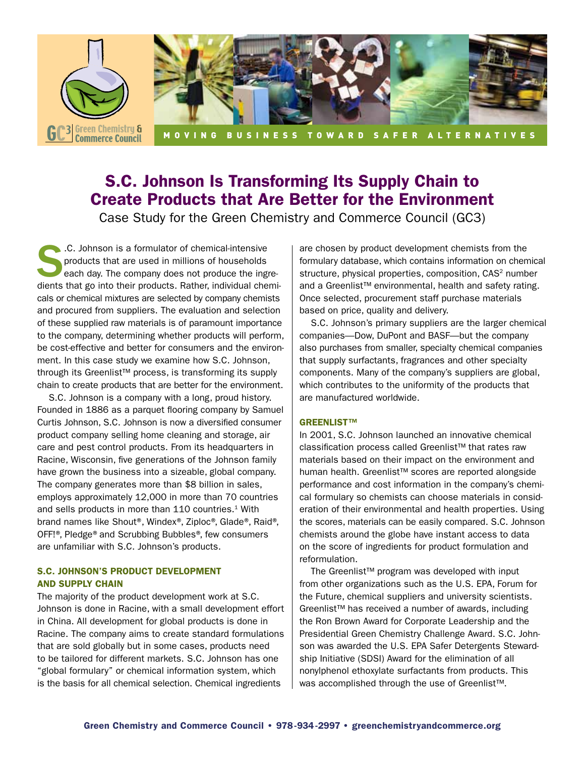

# S.C. Johnson Is Transforming Its Supply Chain to Create Products that Are Better for the Environment

Case Study for the Green Chemistry and Commerce Council (GC3)

S.C. Johnson is a formulator of chemical-intensive<br>products that are used in millions of households<br>each day. The company does not produce the ingredients that so into their products. Bather individual chem products that are used in millions of households each day. The company does not produce the ingredients that go into their products. Rather, individual chemicals or chemical mixtures are selected by company chemists and procured from suppliers. The evaluation and selection of these supplied raw materials is of paramount importance to the company, determining whether products will perform, be cost-effective and better for consumers and the environment. In this case study we examine how S.C. Johnson, through its Greenlist™ process, is transforming its supply chain to create products that are better for the environment.

S.C. Johnson is a company with a long, proud history. Founded in 1886 as a parquet flooring company by Samuel Curtis Johnson, S.C. Johnson is now a diversified consumer product company selling home cleaning and storage, air care and pest control products. From its headquarters in Racine, Wisconsin, five generations of the Johnson family have grown the business into a sizeable, global company. The company generates more than \$8 billion in sales, employs approximately 12,000 in more than 70 countries and sells products in more than 110 countries.<sup>1</sup> With brand names like Shout®, Windex®, Ziploc®, Glade®, Raid®, OFF!®, Pledge® and Scrubbing Bubbles®, few consumers are unfamiliar with S.C. Johnson's products.

## S.C. Johnson's Product Development and Supply Chain

The majority of the product development work at S.C. Johnson is done in Racine, with a small development effort in China. All development for global products is done in Racine. The company aims to create standard formulations that are sold globally but in some cases, products need to be tailored for different markets. S.C. Johnson has one "global formulary" or chemical information system, which is the basis for all chemical selection. Chemical ingredients

are chosen by product development chemists from the formulary database, which contains information on chemical structure, physical properties, composition, CAS<sup>2</sup> number and a Greenlist™ environmental, health and safety rating. Once selected, procurement staff purchase materials based on price, quality and delivery.

S.C. Johnson's primary suppliers are the larger chemical companies—Dow, DuPont and BASF—but the company also purchases from smaller, specialty chemical companies that supply surfactants, fragrances and other specialty components. Many of the company's suppliers are global, which contributes to the uniformity of the products that are manufactured worldwide.

## Greenlist™

In 2001, S.C. Johnson launched an innovative chemical classification process called Greenlist™ that rates raw materials based on their impact on the environment and human health. Greenlist™ scores are reported alongside performance and cost information in the company's chemical formulary so chemists can choose materials in consideration of their environmental and health properties. Using the scores, materials can be easily compared. S.C. Johnson chemists around the globe have instant access to data on the score of ingredients for product formulation and reformulation.

The Greenlist™ program was developed with input from other organizations such as the U.S. EPA, Forum for the Future, chemical suppliers and university scientists. Greenlist™ has received a number of awards, including the Ron Brown Award for Corporate Leadership and the Presidential Green Chemistry Challenge Award. S.C. Johnson was awarded the U.S. EPA Safer Detergents Stewardship Initiative (SDSI) Award for the elimination of all nonylphenol ethoxylate surfactants from products. This was accomplished through the use of Greenlist™.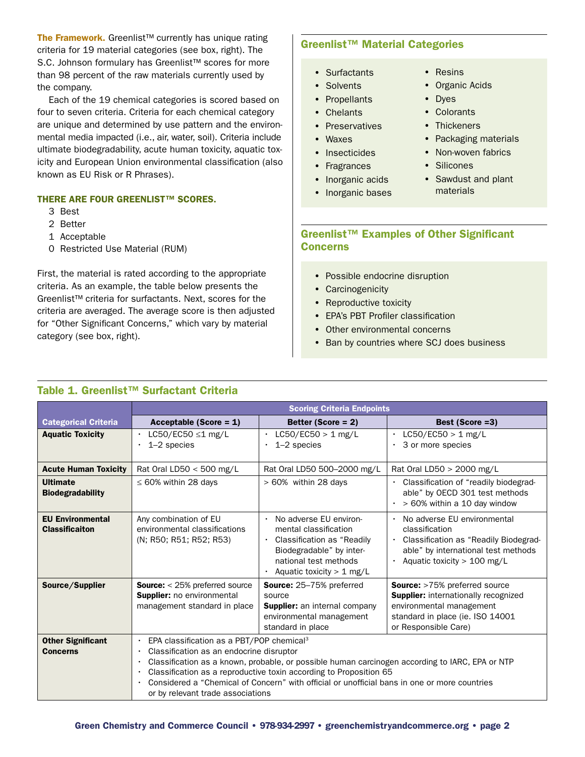The Framework. Greenlist<sup>™</sup> currently has unique rating criteria for 19 material categories (see box, right). The S.C. Johnson formulary has Greenlist<sup>™</sup> scores for more than 98 percent of the raw materials currently used by the company.

Each of the 19 chemical categories is scored based on four to seven criteria. Criteria for each chemical category are unique and determined by use pattern and the environmental media impacted (i.e., air, water, soil). Criteria include ultimate biodegradability, acute human toxicity, aquatic toxicity and European Union environmental classification (also known as EU Risk or R Phrases).

#### THERE ARE FOUR GREENLIST™ SCORES.

- 3 Best
- 2 Better
- 1 Acceptable
- 0 Restricted Use Material (RUM)

First, the material is rated according to the appropriate criteria. As an example, the table below presents the Greenlist™ criteria for surfactants. Next, scores for the criteria are averaged. The average score is then adjusted for "Other Significant Concerns," which vary by material category (see box, right).

## Greenlist™ Material Categories

- Surfactants
- Solvents
- Propellants
- Chelants
- Preservatives
- Waxes
- Insecticides
- Fragrances
- Inorganic acids
- Inorganic bases
- Resins
- Organic Acids
- Dyes
- Colorants
- Thickeners
- Packaging materials
- Non-woven fabrics
- Silicones
- Sawdust and plant materials

## Greenlist™ Examples of Other Significant Concerns

- Possible endocrine disruption
- Carcinogenicity
- Reproductive toxicity
- EPA's PBT Profiler classification
- Other environmental concerns
- Ban by countries where SCJ does business

|                                                  | <b>Scoring Criteria Endpoints</b>                                                                                                                                                                                                                                                                                                                                                                                                                      |                                                                                                                                                                                 |                                                                                                                                                                             |
|--------------------------------------------------|--------------------------------------------------------------------------------------------------------------------------------------------------------------------------------------------------------------------------------------------------------------------------------------------------------------------------------------------------------------------------------------------------------------------------------------------------------|---------------------------------------------------------------------------------------------------------------------------------------------------------------------------------|-----------------------------------------------------------------------------------------------------------------------------------------------------------------------------|
| <b>Categorical Criteria</b>                      | Acceptable (Score = $1$ )                                                                                                                                                                                                                                                                                                                                                                                                                              | Better (Score = $2$ )                                                                                                                                                           | Best (Score = 3)                                                                                                                                                            |
| <b>Aquatic Toxicity</b>                          | $\cdot$ LC50/EC50 $\leq$ 1 mg/L<br>$1-2$ species                                                                                                                                                                                                                                                                                                                                                                                                       | $LC50/EC50 > 1$ mg/L<br>$\bullet$<br>$1-2$ species                                                                                                                              | $LC50/EC50 > 1$ mg/L<br>3 or more species                                                                                                                                   |
| <b>Acute Human Toxicity</b>                      | Rat Oral LD50 $<$ 500 mg/L                                                                                                                                                                                                                                                                                                                                                                                                                             | Rat Oral LD50 500-2000 mg/L                                                                                                                                                     | Rat Oral LD50 > 2000 mg/L                                                                                                                                                   |
| <b>Ultimate</b><br><b>Biodegradability</b>       | $\leq 60\%$ within 28 days                                                                                                                                                                                                                                                                                                                                                                                                                             | $>60\%$ within 28 days                                                                                                                                                          | Classification of "readily biodegrad-<br>able" by OECD 301 test methods<br>> 60% within a 10 day window                                                                     |
| <b>EU Environmental</b><br><b>Classificaiton</b> | Any combination of EU<br>environmental classifications<br>(N; R50; R51; R52; R53)                                                                                                                                                                                                                                                                                                                                                                      | No adverse EU environ-<br>$\bullet$<br>mental classification<br>Classification as "Readily"<br>Biodegradable" by inter-<br>national test methods<br>Aquatic toxicity $> 1$ mg/L | No adverse EU environmental<br>classification<br>Classification as "Readily Biodegrad-<br>able" by international test methods<br>Aquatic toxicity $> 100$ mg/L              |
| Source/Supplier                                  | <b>Source:</b> $<$ 25% preferred source<br>Supplier: no environmental<br>management standard in place                                                                                                                                                                                                                                                                                                                                                  | <b>Source:</b> 25–75% preferred<br>source<br><b>Supplier:</b> an internal company<br>environmental management<br>standard in place                                              | <b>Source:</b> >75% preferred source<br><b>Supplier:</b> internationally recognized<br>environmental management<br>standard in place (ie. ISO 14001<br>or Responsible Care) |
| <b>Other Significant</b><br><b>Concerns</b>      | EPA classification as a PBT/POP chemical <sup>3</sup><br>$\bullet$<br>Classification as an endocrine disruptor<br>$\bullet$<br>Classification as a known, probable, or possible human carcinogen according to IARC, EPA or NTP<br>$\bullet$<br>Classification as a reproductive toxin according to Proposition 65<br>Considered a "Chemical of Concern" with official or unofficial bans in one or more countries<br>or by relevant trade associations |                                                                                                                                                                                 |                                                                                                                                                                             |

## Table 1. Greenlist™ Surfactant Criteria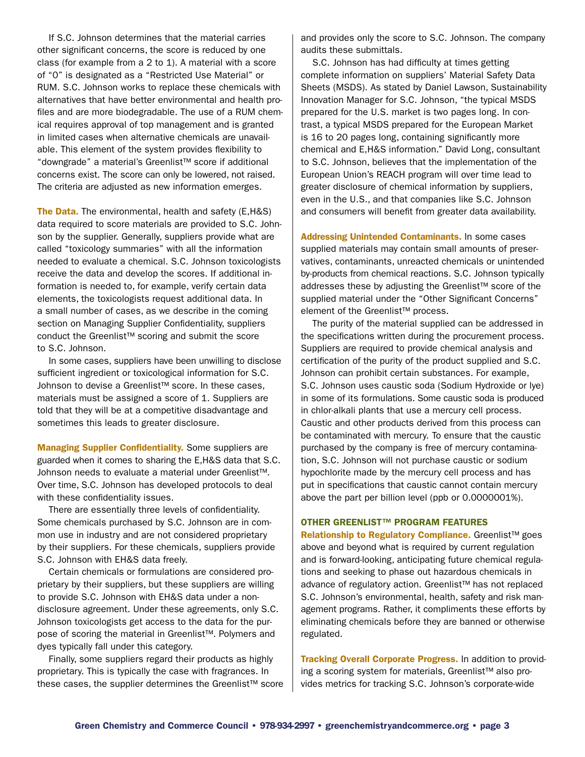If S.C. Johnson determines that the material carries other significant concerns, the score is reduced by one class (for example from a 2 to 1). A material with a score of "0" is designated as a "Restricted Use Material" or RUM. S.C. Johnson works to replace these chemicals with alternatives that have better environmental and health profiles and are more biodegradable. The use of a RUM chemical requires approval of top management and is granted in limited cases when alternative chemicals are unavailable. This element of the system provides flexibility to "downgrade" a material's Greenlist™ score if additional concerns exist. The score can only be lowered, not raised. The criteria are adjusted as new information emerges.

The Data. The environmental, health and safety (E.H&S) data required to score materials are provided to S.C. Johnson by the supplier. Generally, suppliers provide what are called "toxicology summaries" with all the information needed to evaluate a chemical. S.C. Johnson toxicologists receive the data and develop the scores. If additional information is needed to, for example, verify certain data elements, the toxicologists request additional data. In a small number of cases, as we describe in the coming section on Managing Supplier Confidentiality, suppliers conduct the Greenlist™ scoring and submit the score to S.C. Johnson.

In some cases, suppliers have been unwilling to disclose sufficient ingredient or toxicological information for S.C. Johnson to devise a Greenlist™ score. In these cases, materials must be assigned a score of 1. Suppliers are told that they will be at a competitive disadvantage and sometimes this leads to greater disclosure.

Managing Supplier Confidentiality. Some suppliers are guarded when it comes to sharing the E,H&S data that S.C. Johnson needs to evaluate a material under Greenlist™. Over time, S.C. Johnson has developed protocols to deal with these confidentiality issues.

There are essentially three levels of confidentiality. Some chemicals purchased by S.C. Johnson are in common use in industry and are not considered proprietary by their suppliers. For these chemicals, suppliers provide S.C. Johnson with EH&S data freely.

Certain chemicals or formulations are considered proprietary by their suppliers, but these suppliers are willing to provide S.C. Johnson with EH&S data under a nondisclosure agreement. Under these agreements, only S.C. Johnson toxicologists get access to the data for the purpose of scoring the material in Greenlist™. Polymers and dyes typically fall under this category.

Finally, some suppliers regard their products as highly proprietary. This is typically the case with fragrances. In these cases, the supplier determines the Greenlist™ score and provides only the score to S.C. Johnson. The company audits these submittals.

S.C. Johnson has had difficulty at times getting complete information on suppliers' Material Safety Data Sheets (MSDS). As stated by Daniel Lawson, Sustainability Innovation Manager for S.C. Johnson, "the typical MSDS prepared for the U.S. market is two pages long. In contrast, a typical MSDS prepared for the European Market is 16 to 20 pages long, containing significantly more chemical and E,H&S information." David Long, consultant to S.C. Johnson, believes that the implementation of the European Union's REACH program will over time lead to greater disclosure of chemical information by suppliers, even in the U.S., and that companies like S.C. Johnson and consumers will benefit from greater data availability.

Addressing Unintended Contaminants. In some cases supplied materials may contain small amounts of preservatives, contaminants, unreacted chemicals or unintended by-products from chemical reactions. S.C. Johnson typically addresses these by adjusting the Greenlist™ score of the supplied material under the "Other Significant Concerns" element of the Greenlist™ process.

The purity of the material supplied can be addressed in the specifications written during the procurement process. Suppliers are required to provide chemical analysis and certification of the purity of the product supplied and S.C. Johnson can prohibit certain substances. For example, S.C. Johnson uses caustic soda (Sodium Hydroxide or lye) in some of its formulations. Some caustic soda is produced in chlor-alkali plants that use a mercury cell process. Caustic and other products derived from this process can be contaminated with mercury. To ensure that the caustic purchased by the company is free of mercury contamination, S.C. Johnson will not purchase caustic or sodium hypochlorite made by the mercury cell process and has put in specifications that caustic cannot contain mercury above the part per billion level (ppb or 0.0000001%).

#### Other Greenlist™ Program Features

Relationship to Regulatory Compliance. Greenlist™ goes above and beyond what is required by current regulation and is forward-looking, anticipating future chemical regulations and seeking to phase out hazardous chemicals in advance of regulatory action. Greenlist™ has not replaced S.C. Johnson's environmental, health, safety and risk management programs. Rather, it compliments these efforts by eliminating chemicals before they are banned or otherwise regulated.

Tracking Overall Corporate Progress. In addition to providing a scoring system for materials, Greenlist™ also provides metrics for tracking S.C. Johnson's corporate-wide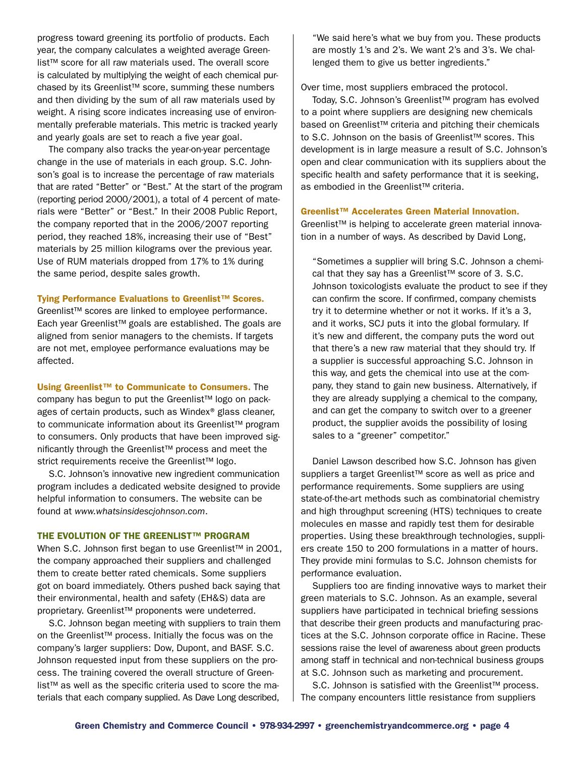progress toward greening its portfolio of products. Each year, the company calculates a weighted average Greenlist™ score for all raw materials used. The overall score is calculated by multiplying the weight of each chemical purchased by its Greenlist™ score, summing these numbers and then dividing by the sum of all raw materials used by weight. A rising score indicates increasing use of environmentally preferable materials. This metric is tracked yearly and yearly goals are set to reach a five year goal.

The company also tracks the year-on-year percentage change in the use of materials in each group. S.C. Johnson's goal is to increase the percentage of raw materials that are rated "Better" or "Best." At the start of the program (reporting period 2000/2001), a total of 4 percent of materials were "Better" or "Best." In their 2008 Public Report, the company reported that in the 2006/2007 reporting period, they reached 18%, increasing their use of "Best" materials by 25 million kilograms over the previous year. Use of RUM materials dropped from 17% to 1% during the same period, despite sales growth.

#### Tying Performance Evaluations to Greenlist™ Scores.

Greenlist™ scores are linked to employee performance. Each year Greenlist™ goals are established. The goals are aligned from senior managers to the chemists. If targets are not met, employee performance evaluations may be affected.

Using Greenlist™ to Communicate to Consumers. The

company has begun to put the Greenlist™ logo on packages of certain products, such as Windex® glass cleaner, to communicate information about its Greenlist™ program to consumers. Only products that have been improved significantly through the Greenlist™ process and meet the strict requirements receive the Greenlist<sup>™</sup> logo.

S.C. Johnson's innovative new ingredient communication program includes a dedicated website designed to provide helpful information to consumers. The website can be found at *www.whatsinsidescjohnson.com*.

#### THE EVOLUTION OF THE GREENLIST™ PROGRAM

When S.C. Johnson first began to use Greenlist™ in 2001, the company approached their suppliers and challenged them to create better rated chemicals. Some suppliers got on board immediately. Others pushed back saying that their environmental, health and safety (EH&S) data are proprietary. Greenlist<sup>™</sup> proponents were undeterred.

S.C. Johnson began meeting with suppliers to train them on the Greenlist™ process. Initially the focus was on the company's larger suppliers: Dow, Dupont, and BASF. S.C. Johnson requested input from these suppliers on the process. The training covered the overall structure of Greenlist™ as well as the specific criteria used to score the materials that each company supplied. As Dave Long described,

"We said here's what we buy from you. These products are mostly 1's and 2's. We want 2's and 3's. We challenged them to give us better ingredients."

Over time, most suppliers embraced the protocol.

Today, S.C. Johnson's Greenlist™ program has evolved to a point where suppliers are designing new chemicals based on Greenlist™ criteria and pitching their chemicals to S.C. Johnson on the basis of Greenlist™ scores. This development is in large measure a result of S.C. Johnson's open and clear communication with its suppliers about the specific health and safety performance that it is seeking, as embodied in the Greenlist™ criteria.

#### Greenlist™ Accelerates Green Material Innovation.

Greenlist™ is helping to accelerate green material innovation in a number of ways. As described by David Long,

"Sometimes a supplier will bring S.C. Johnson a chemical that they say has a Greenlist™ score of 3. S.C. Johnson toxicologists evaluate the product to see if they can confirm the score. If confirmed, company chemists try it to determine whether or not it works. If it's a 3, and it works, SCJ puts it into the global formulary. If it's new and different, the company puts the word out that there's a new raw material that they should try. If a supplier is successful approaching S.C. Johnson in this way, and gets the chemical into use at the company, they stand to gain new business. Alternatively, if they are already supplying a chemical to the company, and can get the company to switch over to a greener product, the supplier avoids the possibility of losing sales to a "greener" competitor."

Daniel Lawson described how S.C. Johnson has given suppliers a target Greenlist<sup>™</sup> score as well as price and performance requirements. Some suppliers are using state-of-the-art methods such as combinatorial chemistry and high throughput screening (HTS) techniques to create molecules en masse and rapidly test them for desirable properties. Using these breakthrough technologies, suppliers create 150 to 200 formulations in a matter of hours. They provide mini formulas to S.C. Johnson chemists for performance evaluation.

Suppliers too are finding innovative ways to market their green materials to S.C. Johnson. As an example, several suppliers have participated in technical briefing sessions that describe their green products and manufacturing practices at the S.C. Johnson corporate office in Racine. These sessions raise the level of awareness about green products among staff in technical and non-technical business groups at S.C. Johnson such as marketing and procurement.

S.C. Johnson is satisfied with the Greenlist<sup>™</sup> process. The company encounters little resistance from suppliers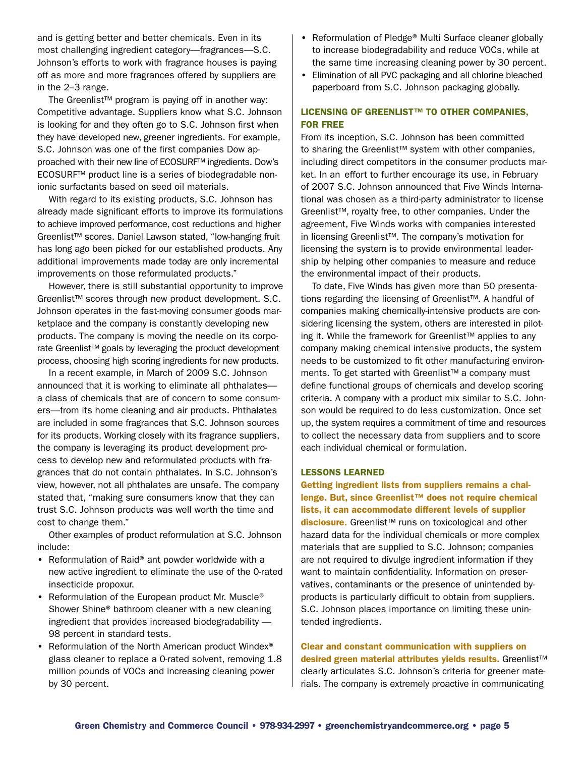and is getting better and better chemicals. Even in its most challenging ingredient category—fragrances—S.C. Johnson's efforts to work with fragrance houses is paying off as more and more fragrances offered by suppliers are in the 2–3 range.

The Greenlist™ program is paying off in another way: Competitive advantage. Suppliers know what S.C. Johnson is looking for and they often go to S.C. Johnson first when they have developed new, greener ingredients. For example, S.C. Johnson was one of the first companies Dow approached with their new line of ECOSURF™ ingredients. Dow's ECOSURF™ product line is a series of biodegradable nonionic surfactants based on seed oil materials.

With regard to its existing products, S.C. Johnson has already made significant efforts to improve its formulations to achieve improved performance, cost reductions and higher Greenlist™ scores. Daniel Lawson stated, "low-hanging fruit has long ago been picked for our established products. Any additional improvements made today are only incremental improvements on those reformulated products."

However, there is still substantial opportunity to improve Greenlist™ scores through new product development. S.C. Johnson operates in the fast-moving consumer goods marketplace and the company is constantly developing new products. The company is moving the needle on its corporate Greenlist™ goals by leveraging the product development process, choosing high scoring ingredients for new products.

In a recent example, in March of 2009 S.C. Johnson announced that it is working to eliminate all phthalates a class of chemicals that are of concern to some consumers—from its home cleaning and air products. Phthalates are included in some fragrances that S.C. Johnson sources for its products. Working closely with its fragrance suppliers, the company is leveraging its product development process to develop new and reformulated products with fragrances that do not contain phthalates. In S.C. Johnson's view, however, not all phthalates are unsafe. The company stated that, "making sure consumers know that they can trust S.C. Johnson products was well worth the time and cost to change them."

Other examples of product reformulation at S.C. Johnson include:

- Reformulation of Raid® ant powder worldwide with a new active ingredient to eliminate the use of the 0-rated insecticide propoxur.
- Reformulation of the European product Mr. Muscle<sup>®</sup> Shower Shine® bathroom cleaner with a new cleaning ingredient that provides increased biodegradability — 98 percent in standard tests.
- Reformulation of the North American product Windex® glass cleaner to replace a 0-rated solvent, removing 1.8 million pounds of VOCs and increasing cleaning power by 30 percent.
- Reformulation of Pledge® Multi Surface cleaner globally to increase biodegradability and reduce VOCs, while at the same time increasing cleaning power by 30 percent.
- Elimination of all PVC packaging and all chlorine bleached paperboard from S.C. Johnson packaging globally.

## LICENSING OF GREENLIST™ TO OTHER COMPANIES. for Free

From its inception, S.C. Johnson has been committed to sharing the Greenlist™ system with other companies, including direct competitors in the consumer products market. In an effort to further encourage its use, in February of 2007 S.C. Johnson announced that Five Winds International was chosen as a third-party administrator to license Greenlist™, royalty free, to other companies. Under the agreement, Five Winds works with companies interested in licensing Greenlist™. The company's motivation for licensing the system is to provide environmental leadership by helping other companies to measure and reduce the environmental impact of their products.

 To date, Five Winds has given more than 50 presentations regarding the licensing of Greenlist™. A handful of companies making chemically-intensive products are considering licensing the system, others are interested in piloting it. While the framework for Greenlist™ applies to any company making chemical intensive products, the system needs to be customized to fit other manufacturing environments. To get started with Greenlist™ a company must define functional groups of chemicals and develop scoring criteria. A company with a product mix similar to S.C. Johnson would be required to do less customization. Once set up, the system requires a commitment of time and resources to collect the necessary data from suppliers and to score each individual chemical or formulation.

#### Lessons Learned

Getting ingredient lists from suppliers remains a challenge. But, since Greenlist™ does not require chemical lists, it can accommodate different levels of supplier disclosure. Greenlist<sup>™</sup> runs on toxicological and other hazard data for the individual chemicals or more complex materials that are supplied to S.C. Johnson; companies are not required to divulge ingredient information if they want to maintain confidentiality. Information on preservatives, contaminants or the presence of unintended byproducts is particularly difficult to obtain from suppliers. S.C. Johnson places importance on limiting these unintended ingredients.

Clear and constant communication with suppliers on desired green material attributes yields results. Greenlist™ clearly articulates S.C. Johnson's criteria for greener materials. The company is extremely proactive in communicating